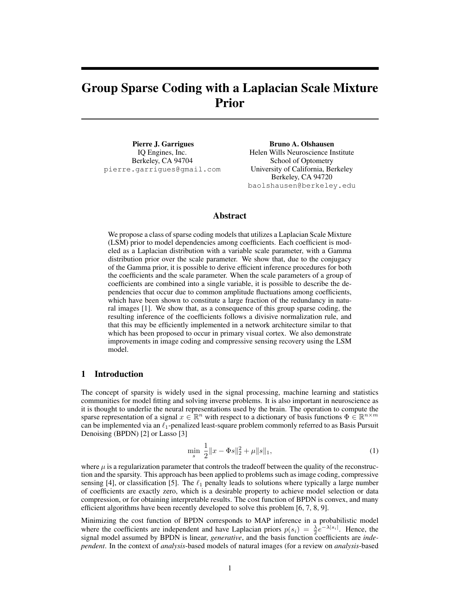# Group Sparse Coding with a Laplacian Scale Mixture Prior

Pierre J. Garrigues IQ Engines, Inc. Berkeley, CA 94704 pierre.garrigues@gmail.com

Bruno A. Olshausen Helen Wills Neuroscience Institute School of Optometry University of California, Berkeley Berkeley, CA 94720 baolshausen@berkeley.edu

## Abstract

We propose a class of sparse coding models that utilizes a Laplacian Scale Mixture (LSM) prior to model dependencies among coefficients. Each coefficient is modeled as a Laplacian distribution with a variable scale parameter, with a Gamma distribution prior over the scale parameter. We show that, due to the conjugacy of the Gamma prior, it is possible to derive efficient inference procedures for both the coefficients and the scale parameter. When the scale parameters of a group of coefficients are combined into a single variable, it is possible to describe the dependencies that occur due to common amplitude fluctuations among coefficients, which have been shown to constitute a large fraction of the redundancy in natural images [1]. We show that, as a consequence of this group sparse coding, the resulting inference of the coefficients follows a divisive normalization rule, and that this may be efficiently implemented in a network architecture similar to that which has been proposed to occur in primary visual cortex. We also demonstrate improvements in image coding and compressive sensing recovery using the LSM model.

## 1 Introduction

The concept of sparsity is widely used in the signal processing, machine learning and statistics communities for model fitting and solving inverse problems. It is also important in neuroscience as it is thought to underlie the neural representations used by the brain. The operation to compute the sparse representation of a signal  $x \in \mathbb{R}^n$  with respect to a dictionary of basis functions  $\Phi \in \mathbb{R}^{n \times m}$ can be implemented via an  $\ell_1$ -penalized least-square problem commonly referred to as Basis Pursuit Denoising (BPDN) [2] or Lasso [3]

$$
\min_{s} \frac{1}{2} \|x - \Phi s\|_{2}^{2} + \mu \|s\|_{1},\tag{1}
$$

where  $\mu$  is a regularization parameter that controls the tradeoff between the quality of the reconstruction and the sparsity. This approach has been applied to problems such as image coding, compressive sensing [4], or classification [5]. The  $\ell_1$  penalty leads to solutions where typically a large number of coefficients are exactly zero, which is a desirable property to achieve model selection or data compression, or for obtaining interpretable results. The cost function of BPDN is convex, and many efficient algorithms have been recently developed to solve this problem [6, 7, 8, 9].

Minimizing the cost function of BPDN corresponds to MAP inference in a probabilistic model where the coefficients are independent and have Laplacian priors  $p(s_i) = \frac{\lambda}{2}e^{-\lambda|s_i|}$ . Hence, the signal model assumed by BPDN is linear, *generative*, and the basis function coefficients are *independent*. In the context of *analysis*-based models of natural images (for a review on *analysis*-based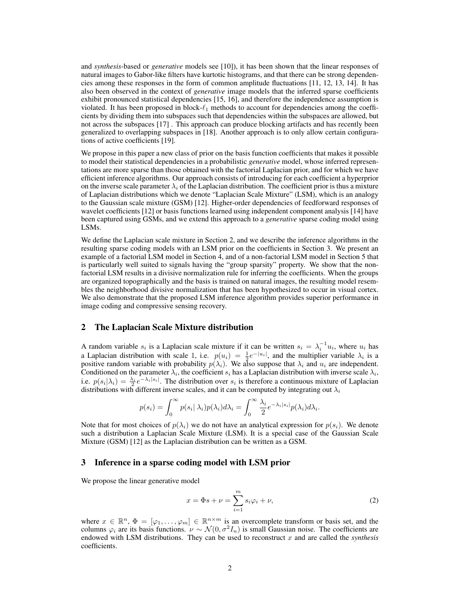and *synthesis*-based or *generative* models see [10]), it has been shown that the linear responses of natural images to Gabor-like filters have kurtotic histograms, and that there can be strong dependencies among these responses in the form of common amplitude fluctuations [11, 12, 13, 14]. It has also been observed in the context of *generative* image models that the inferred sparse coefficients exhibit pronounced statistical dependencies [15, 16], and therefore the independence assumption is violated. It has been proposed in block- $\ell_1$  methods to account for dependencies among the coefficients by dividing them into subspaces such that dependencies within the subspaces are allowed, but not across the subspaces [17] . This approach can produce blocking artifacts and has recently been generalized to overlapping subspaces in [18]. Another approach is to only allow certain configurations of active coefficients [19].

We propose in this paper a new class of prior on the basis function coefficients that makes it possible to model their statistical dependencies in a probabilistic *generative* model, whose inferred representations are more sparse than those obtained with the factorial Laplacian prior, and for which we have efficient inference algorithms. Our approach consists of introducing for each coefficient a hyperprior on the inverse scale parameter  $\lambda_i$  of the Laplacian distribution. The coefficient prior is thus a mixture of Laplacian distributions which we denote "Laplacian Scale Mixture" (LSM), which is an analogy to the Gaussian scale mixture (GSM) [12]. Higher-order dependencies of feedforward responses of wavelet coefficients [12] or basis functions learned using independent component analysis [14] have been captured using GSMs, and we extend this approach to a *generative* sparse coding model using LSMs.

We define the Laplacian scale mixture in Section 2, and we describe the inference algorithms in the resulting sparse coding models with an LSM prior on the coefficients in Section 3. We present an example of a factorial LSM model in Section 4, and of a non-factorial LSM model in Section 5 that is particularly well suited to signals having the "group sparsity" property. We show that the nonfactorial LSM results in a divisive normalization rule for inferring the coefficients. When the groups are organized topographically and the basis is trained on natural images, the resulting model resembles the neighborhood divisive normalization that has been hypothesized to occur in visual cortex. We also demonstrate that the proposed LSM inference algorithm provides superior performance in image coding and compressive sensing recovery.

## 2 The Laplacian Scale Mixture distribution

A random variable  $s_i$  is a Laplacian scale mixture if it can be written  $s_i = \lambda_i^{-1} u_i$ , where  $u_i$  has a Laplacian distribution with scale 1, i.e.  $p(u_i) = \frac{1}{2}e^{-|u_i|}$ , and the multiplier variable  $\lambda_i$  is a positive random variable with probability  $p(\lambda_i)$ . We also suppose that  $\lambda_i$  and  $u_i$  are independent. Conditioned on the parameter  $\lambda_i$ , the coefficient  $s_i$  has a Laplacian distribution with inverse scale  $\lambda_i$ , i.e.  $p(s_i|\lambda_i) = \frac{\lambda_i}{2}e^{-\lambda_i|s_i|}$ . The distribution over  $s_i$  is therefore a continuous mixture of Laplacian distributions with different inverse scales, and it can be computed by integrating out  $\lambda_i$ 

$$
p(s_i) = \int_0^\infty p(s_i | \lambda_i) p(\lambda_i) d\lambda_i = \int_0^\infty \frac{\lambda_i}{2} e^{-\lambda_i |s_i|} p(\lambda_i) d\lambda_i.
$$

Note that for most choices of  $p(\lambda_i)$  we do not have an analytical expression for  $p(s_i)$ . We denote such a distribution a Laplacian Scale Mixture (LSM). It is a special case of the Gaussian Scale Mixture (GSM) [12] as the Laplacian distribution can be written as a GSM.

## 3 Inference in a sparse coding model with LSM prior

We propose the linear generative model

$$
x = \Phi s + \nu = \sum_{i=1}^{m} s_i \varphi_i + \nu,
$$
\n(2)

where  $x \in \mathbb{R}^n$ ,  $\Phi = [\varphi_1, \dots, \varphi_m] \in \mathbb{R}^{n \times m}$  is an overcomplete transform or basis set, and the columns  $\varphi_i$  are its basis functions.  $\nu \sim \mathcal{N}(0, \sigma^2 I_n)$  is small Gaussian noise. The coefficients are endowed with LSM distributions. They can be used to reconstruct  $x$  and are called the *synthesis* coefficients.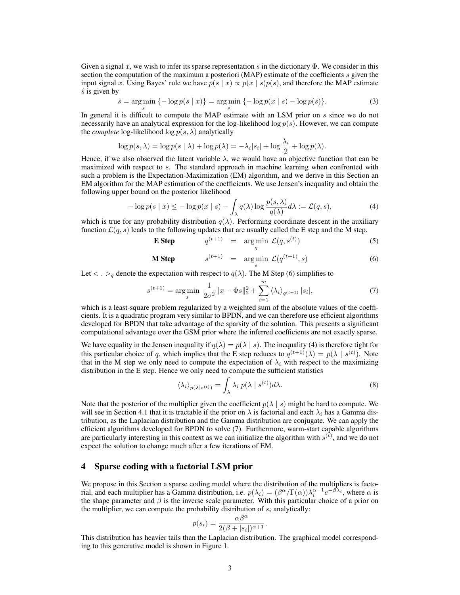Given a signal x, we wish to infer its sparse representation s in the dictionary  $\Phi$ . We consider in this section the computation of the maximum a posteriori (MAP) estimate of the coefficients s given the input signal x. Using Bayes' rule we have  $p(s | x) \propto p(x | s)p(s)$ , and therefore the MAP estimate  $\hat{s}$  is given by

$$
\hat{s} = \underset{s}{\arg\min} \left\{ -\log p(s \mid x) \right\} = \underset{s}{\arg\min} \left\{ -\log p(x \mid s) - \log p(s) \right\}.
$$
 (3)

In general it is difficult to compute the MAP estimate with an LSM prior on s since we do not necessarily have an analytical expression for the log-likelihood log  $p(s)$ . However, we can compute the *complete* log-likelihood  $\log p(s, \lambda)$  analytically

$$
\log p(s,\lambda) = \log p(s \mid \lambda) + \log p(\lambda) = -\lambda_i |s_i| + \log \frac{\lambda_i}{2} + \log p(\lambda).
$$

Hence, if we also observed the latent variable  $\lambda$ , we would have an objective function that can be maximized with respect to s. The standard approach in machine learning when confronted with such a problem is the Expectation-Maximization (EM) algorithm, and we derive in this Section an EM algorithm for the MAP estimation of the coefficients. We use Jensen's inequality and obtain the following upper bound on the posterior likelihood

$$
-\log p(s \mid x) \le -\log p(x \mid s) - \int_{\lambda} q(\lambda) \log \frac{p(s, \lambda)}{q(\lambda)} d\lambda := \mathcal{L}(q, s),\tag{4}
$$

which is true for any probability distribution  $q(\lambda)$ . Performing coordinate descent in the auxiliary function  $\mathcal{L}(q, s)$  leads to the following updates that are usually called the E step and the M step.

**E Step** 
$$
q^{(t+1)} = \arg\min_{q} \mathcal{L}(q, s^{(t)})
$$
 (5)

$$
\mathbf{M Step} \qquad s^{(t+1)} = \underset{s}{\arg\min} \ \mathcal{L}(q^{(t+1)}, s) \tag{6}
$$

Let  $\langle \cdot \rangle_q$  denote the expectation with respect to  $q(\lambda)$ . The M Step (6) simplifies to

$$
s^{(t+1)} = \underset{s}{\text{arg min}} \frac{1}{2\sigma^2} \|x - \Phi s\|_2^2 + \sum_{i=1}^m \langle \lambda_i \rangle_{q^{(t+1)}} |s_i|,\tag{7}
$$

which is a least-square problem regularized by a weighted sum of the absolute values of the coefficients. It is a quadratic program very similar to BPDN, and we can therefore use efficient algorithms developed for BPDN that take advantage of the sparsity of the solution. This presents a significant computational advantage over the GSM prior where the inferred coefficients are not exactly sparse.

We have equality in the Jensen inequality if  $q(\lambda) = p(\lambda | s)$ . The inequality (4) is therefore tight for this particular choice of q, which implies that the E step reduces to  $q^{(t+1)}(\lambda) = p(\lambda | s^{(t)})$ . Note that in the M step we only need to compute the expectation of  $\lambda_i$  with respect to the maximizing distribution in the E step. Hence we only need to compute the sufficient statistics

$$
\langle \lambda_i \rangle_{p(\lambda|s^{(t)})} = \int_{\lambda} \lambda_i \ p(\lambda \mid s^{(t)}) d\lambda. \tag{8}
$$

Note that the posterior of the multiplier given the coefficient  $p(\lambda | s)$  might be hard to compute. We will see in Section 4.1 that it is tractable if the prior on  $\lambda$  is factorial and each  $\lambda_i$  has a Gamma distribution, as the Laplacian distribution and the Gamma distribution are conjugate. We can apply the efficient algorithms developed for BPDN to solve (7). Furthermore, warm-start capable algorithms are particularly interesting in this context as we can initialize the algorithm with  $s^{(t)}$ , and we do not expect the solution to change much after a few iterations of EM.

## 4 Sparse coding with a factorial LSM prior

We propose in this Section a sparse coding model where the distribution of the multipliers is factorial, and each multiplier has a Gamma distribution, i.e.  $p(\lambda_i) = (\beta^{\alpha}/\Gamma(\alpha))\lambda_i^{\alpha-1}e^{-\beta\lambda_i}$ , where  $\alpha$  is the shape parameter and  $\beta$  is the inverse scale parameter. With this particular choice of a prior on the multiplier, we can compute the probability distribution of  $s_i$  analytically:

$$
p(s_i) = \frac{\alpha \beta^{\alpha}}{2(\beta + |s_i|)^{\alpha + 1}}.
$$

This distribution has heavier tails than the Laplacian distribution. The graphical model corresponding to this generative model is shown in Figure 1.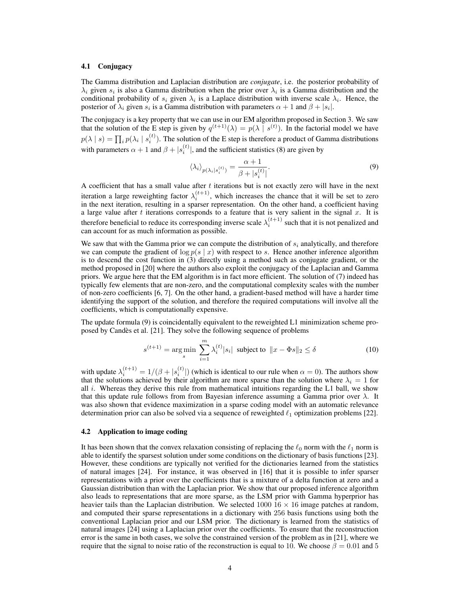### 4.1 Conjugacy

The Gamma distribution and Laplacian distribution are *conjugate*, i.e. the posterior probability of  $\lambda_i$  given  $s_i$  is also a Gamma distribution when the prior over  $\lambda_i$  is a Gamma distribution and the conditional probability of  $s_i$  given  $\lambda_i$  is a Laplace distribution with inverse scale  $\lambda_i$ . Hence, the posterior of  $\lambda_i$  given  $s_i$  is a Gamma distribution with parameters  $\alpha + 1$  and  $\beta + |s_i|$ .

The conjugacy is a key property that we can use in our EM algorithm proposed in Section 3. We saw that the solution of the E step is given by  $q^{(t+1)}(\lambda) = p(\lambda | s^{(t)})$ . In the factorial model we have  $p(\lambda | s) = \prod_i p(\lambda_i | s_i^{(t)})$ . The solution of the E step is therefore a product of Gamma distributions with parameters  $\alpha + 1$  and  $\beta + |s_i^{(t)}|$ , and the sufficient statistics (8) are given by

$$
\langle \lambda_i \rangle_{p(\lambda_i|s_i^{(t)})} = \frac{\alpha + 1}{\beta + |s_i^{(t)}|}.
$$
\n(9)

A coefficient that has a small value after t iterations but is not exactly zero will have in the next iteration a large reweighting factor  $\lambda_i^{(t+1)}$ , which increases the chance that it will be set to zero in the next iteration, resulting in a sparser representation. On the other hand, a coefficient having a large value after  $t$  iterations corresponds to a feature that is very salient in the signal  $x$ . It is therefore beneficial to reduce its corresponding inverse scale  $\lambda_i^{(t+1)}$  such that it is not penalized and can account for as much information as possible.

We saw that with the Gamma prior we can compute the distribution of  $s_i$  analytically, and therefore we can compute the gradient of  $\log p(s \mid x)$  with respect to s. Hence another inference algorithm is to descend the cost function in (3) directly using a method such as conjugate gradient, or the method proposed in [20] where the authors also exploit the conjugacy of the Laplacian and Gamma priors. We argue here that the EM algorithm is in fact more efficient. The solution of (7) indeed has typically few elements that are non-zero, and the computational complexity scales with the number of non-zero coefficients [6, 7]. On the other hand, a gradient-based method will have a harder time identifying the support of the solution, and therefore the required computations will involve all the coefficients, which is computationally expensive.

The update formula (9) is coincidentally equivalent to the reweighted L1 minimization scheme proposed by Candes et al. [21]. They solve the following sequence of problems `

$$
s^{(t+1)} = \underset{s}{\text{arg min}} \sum_{i=1}^{m} \lambda_i^{(t)} |s_i| \text{ subject to } ||x - \Phi s||_2 \le \delta \tag{10}
$$

with update  $\lambda_i^{(t+1)} = 1/(\beta + |s_i^{(t)}|)$  (which is identical to our rule when  $\alpha = 0$ ). The authors show that the solutions achieved by their algorithm are more sparse than the solution where  $\lambda_i = 1$  for all  $i$ . Whereas they derive this rule from mathematical intuitions regarding the L1 ball, we show that this update rule follows from from Bayesian inference assuming a Gamma prior over  $\lambda$ . It was also shown that evidence maximization in a sparse coding model with an automatic relevance determination prior can also be solved via a sequence of reweighted  $\ell_1$  optimization problems [22].

#### 4.2 Application to image coding

It has been shown that the convex relaxation consisting of replacing the  $\ell_0$  norm with the  $\ell_1$  norm is able to identify the sparsest solution under some conditions on the dictionary of basis functions [23]. However, these conditions are typically not verified for the dictionaries learned from the statistics of natural images [24]. For instance, it was observed in [16] that it is possible to infer sparser representations with a prior over the coefficients that is a mixture of a delta function at zero and a Gaussian distribution than with the Laplacian prior. We show that our proposed inference algorithm also leads to representations that are more sparse, as the LSM prior with Gamma hyperprior has heavier tails than the Laplacian distribution. We selected  $1000 \text{ } 16 \times 16$  image patches at random, and computed their sparse representations in a dictionary with 256 basis functions using both the conventional Laplacian prior and our LSM prior. The dictionary is learned from the statistics of natural images [24] using a Laplacian prior over the coefficients. To ensure that the reconstruction error is the same in both cases, we solve the constrained version of the problem as in [21], where we require that the signal to noise ratio of the reconstruction is equal to 10. We choose  $\beta = 0.01$  and 5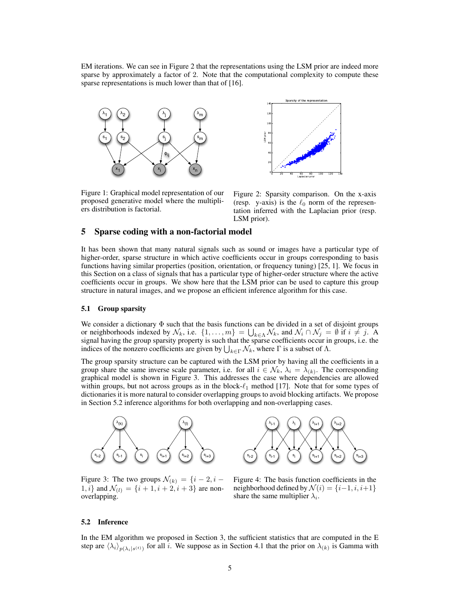EM iterations. We can see in Figure 2 that the representations using the LSM prior are indeed more sparse by approximately a factor of 2. Note that the computational complexity to compute these sparse representations is much lower than that of [16].



0 20 40 60 80 100 120 140 Laplacian prior  $0\frac{k}{n}$ 20 40 60 80 100 120 140F SM prior<br>S Sparsity of the representation

Figure 1: Graphical model representation of our proposed generative model where the multipliers distribution is factorial.

Figure 2: Sparsity comparison. On the x-axis (resp. y-axis) is the  $\ell_0$  norm of the representation inferred with the Laplacian prior (resp. LSM prior).

## 5 Sparse coding with a non-factorial model

It has been shown that many natural signals such as sound or images have a particular type of higher-order, sparse structure in which active coefficients occur in groups corresponding to basis functions having similar properties (position, orientation, or frequency tuning) [25, 1]. We focus in this Section on a class of signals that has a particular type of higher-order structure where the active coefficients occur in groups. We show here that the LSM prior can be used to capture this group structure in natural images, and we propose an efficient inference algorithm for this case.

### 5.1 Group sparsity

We consider a dictionary  $\Phi$  such that the basis functions can be divided in a set of disjoint groups or neighborhoods indexed by  $\mathcal{N}_k$ , i.e.  $\{1, \ldots, m\} = \bigcup_{k \in \Lambda} \mathcal{N}_k$ , and  $\mathcal{N}_i \cap \mathcal{N}_j = \emptyset$  if  $i \neq j$ . A signal having the group sparsity property is such that the sparse coefficients occur in groups, i.e. the indices of the nonzero coefficients are given by  $\bigcup_{k \in \Gamma} \mathcal{N}_k$ , where  $\Gamma$  is a subset of  $\Lambda$ .

The group sparsity structure can be captured with the LSM prior by having all the coefficients in a group share the same inverse scale parameter, i.e. for all  $i \in \mathcal{N}_k$ ,  $\lambda_i = \lambda_{(k)}$ . The corresponding graphical model is shown in Figure 3. This addresses the case where dependencies are allowed within groups, but not across groups as in the block- $\ell_1$  method [17]. Note that for some types of dictionaries it is more natural to consider overlapping groups to avoid blocking artifacts. We propose in Section 5.2 inference algorithms for both overlapping and non-overlapping cases.



 $s_{i-1}$ λ<sub>i-1</sub>  $\left[ s_{i-2} \atop s_{i-1} \right]$   $\left[ s_{i} \atop s_{i+1} \right]$  $\lambda_{\mathsf{i}}$  $s_{i+1}$   $s_{i+2}$  $\lambda_{i+2}$  $s_{i+3}$  $\lambda_{i+1}$ 

Figure 3: The two groups  $\mathcal{N}_{(k)} = \{i-2, i-1\}$ 1, *i*} and  $\mathcal{N}_{(l)} = \{i + 1, i + 2, i + 3\}$  are nonoverlapping.

Figure 4: The basis function coefficients in the neighborhood defined by  $\mathcal{N}(i) = \{i-1, i, i+1\}$ share the same multiplier  $\lambda_i$ .

#### 5.2 Inference

In the EM algorithm we proposed in Section 3, the sufficient statistics that are computed in the E step are  $\langle \lambda_i \rangle_{p(\lambda_i|s^{(t)})}$  for all i. We suppose as in Section 4.1 that the prior on  $\lambda_{(k)}$  is Gamma with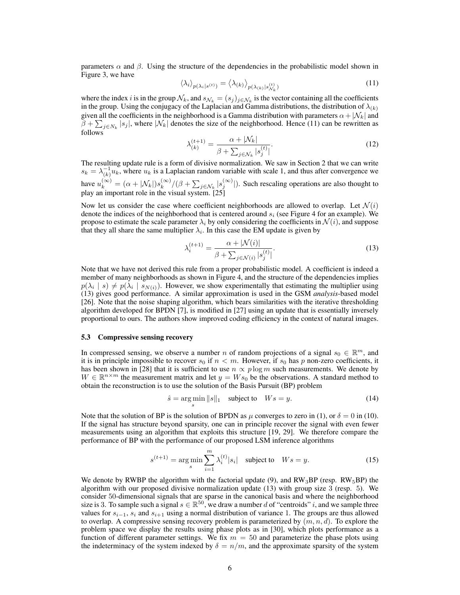parameters  $\alpha$  and  $\beta$ . Using the structure of the dependencies in the probabilistic model shown in Figure 3, we have

$$
\langle \lambda_i \rangle_{p(\lambda_i|s^{(t)})} = \langle \lambda_{(k)} \rangle_{p(\lambda_{(k)}|s^{(t)}_{\mathcal{N}_k})}
$$
\n(11)

where the index *i* is in the group  $\mathcal{N}_k$ , and  $s_{\mathcal{N}_k} = (s_j)_{j \in \mathcal{N}_k}$  is the vector containing all the coefficients in the group. Using the conjugacy of the Laplacian and Gamma distributions, the distribution of  $\lambda_{(k)}$ given all the coefficients in the neighborhood is a Gamma distribution with parameters  $\alpha+|\mathcal{N}_k|$  and  $\beta + \sum_{j \in N_k} |s_j|$ , where  $|\mathcal{N}_k|$  denotes the size of the neighborhood. Hence (11) can be rewritten as follows

$$
\lambda_{(k)}^{(t+1)} = \frac{\alpha + |\mathcal{N}_k|}{\beta + \sum_{j \in \mathcal{N}_k} |s_j^{(t)}|}.
$$
\n(12)

The resulting update rule is a form of divisive normalization. We saw in Section 2 that we can write  $s_k = \lambda_{(k)}^{-1} u_k$ , where  $u_k$  is a Laplacian random variable with scale 1, and thus after convergence we have  $u_k^{(\infty)} = (\alpha + |\mathcal{N}_k|) s_k^{(\infty)}$  $\binom{(\infty)}{k}$ / $(\beta + \sum_{j \in \mathcal{N}_k} |s_j^{(\infty)}|)$ . Such rescaling operations are also thought to play an important role in the visual system. [25]

Now let us consider the case where coefficient neighborhoods are allowed to overlap. Let  $\mathcal{N}(i)$ denote the indices of the neighborhood that is centered around  $s_i$  (see Figure 4 for an example). We propose to estimate the scale parameter  $\lambda_i$  by only considering the coefficients in  $\mathcal{N}(i)$ , and suppose that they all share the same multiplier  $\lambda_i$ . In this case the EM update is given by

$$
\lambda_i^{(t+1)} = \frac{\alpha + |\mathcal{N}(i)|}{\beta + \sum_{j \in \mathcal{N}(i)} |s_j^{(t)}|}.
$$
\n(13)

Note that we have not derived this rule from a proper probabilistic model. A coefficient is indeed a member of many neighborhoods as shown in Figure 4, and the structure of the dependencies implies  $p(\lambda_i | s) \neq p(\lambda_i | s_{N(i)})$ . However, we show experimentally that estimating the multiplier using (13) gives good performance. A similar approximation is used in the GSM *analysis*-based model [26]. Note that the noise shaping algorithm, which bears similarities with the iterative thresholding algorithm developed for BPDN [7], is modified in [27] using an update that is essentially inversely proportional to ours. The authors show improved coding efficiency in the context of natural images.

#### 5.3 Compressive sensing recovery

In compressed sensing, we observe a number n of random projections of a signal  $s_0 \in \mathbb{R}^m$ , and it is in principle impossible to recover  $s_0$  if  $n < m$ . However, if  $s_0$  has p non-zero coefficients, it has been shown in [28] that it is sufficient to use  $n \propto p \log m$  such measurements. We denote by  $W \in \mathbb{R}^{n \times m}$  the measurement matrix and let  $y = W s_0$  be the observations. A standard method to obtain the reconstruction is to use the solution of the Basis Pursuit (BP) problem

$$
\hat{s} = \underset{s}{\text{arg min}} \|s\|_1 \quad \text{subject to} \quad Ws = y. \tag{14}
$$

Note that the solution of BP is the solution of BPDN as  $\mu$  converges to zero in (1), or  $\delta = 0$  in (10). If the signal has structure beyond sparsity, one can in principle recover the signal with even fewer measurements using an algorithm that exploits this structure [19, 29]. We therefore compare the performance of BP with the performance of our proposed LSM inference algorithms

$$
s^{(t+1)} = \arg\min_{s} \sum_{i=1}^{m} \lambda_i^{(t)} |s_i| \quad \text{subject to} \quad Ws = y. \tag{15}
$$

We denote by RWBP the algorithm with the factorial update (9), and  $RW_3BP$  (resp.  $RW_5BP$ ) the algorithm with our proposed divisive normalization update (13) with group size 3 (resp. 5). We consider 50-dimensional signals that are sparse in the canonical basis and where the neighborhood size is 3. To sample such a signal  $s \in \mathbb{R}^{50}$ , we draw a number d of "centroids" i, and we sample three values for  $s_{i-1}$ ,  $s_i$  and  $s_{i+1}$  using a normal distribution of variance 1. The groups are thus allowed to overlap. A compressive sensing recovery problem is parameterized by  $(m, n, d)$ . To explore the problem space we display the results using phase plots as in [30], which plots performance as a function of different parameter settings. We fix  $m = 50$  and parameterize the phase plots using the indeterminacy of the system indexed by  $\delta = n/m$ , and the approximate sparsity of the system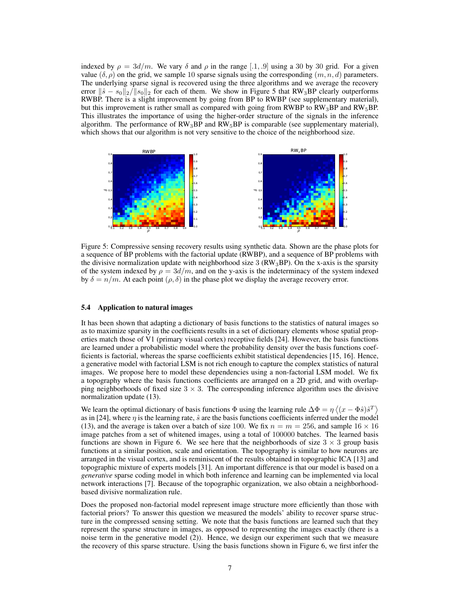indexed by  $\rho = 3d/m$ . We vary  $\delta$  and  $\rho$  in the range [.1, .9] using a 30 by 30 grid. For a given value  $(\delta, \rho)$  on the grid, we sample 10 sparse signals using the corresponding  $(m, n, d)$  parameters. The underlying sparse signal is recovered using the three algorithms and we average the recovery error  $\|\hat{s} - s_0\|_2 / \|s_0\|_2$  for each of them. We show in Figure 5 that RW<sub>3</sub>BP clearly outperforms RWBP. There is a slight improvement by going from BP to RWBP (see supplementary material), but this improvement is rather small as compared with going from RWBP to  $RW_3BP$  and  $RW_5BP$ . This illustrates the importance of using the higher-order structure of the signals in the inference algorithm. The performance of  $RW_3BP$  and  $RW_5BP$  is comparable (see supplementary material), which shows that our algorithm is not very sensitive to the choice of the neighborhood size.



Figure 5: Compressive sensing recovery results using synthetic data. Shown are the phase plots for a sequence of BP problems with the factorial update (RWBP), and a sequence of BP problems with the divisive normalization update with neighborhood size 3 ( $RW<sub>3</sub>BP$ ). On the x-axis is the sparsity of the system indexed by  $\rho = 3d/m$ , and on the y-axis is the indeterminacy of the system indexed by  $\delta = n/m$ . At each point  $(\rho, \delta)$  in the phase plot we display the average recovery error.

#### 5.4 Application to natural images

It has been shown that adapting a dictionary of basis functions to the statistics of natural images so as to maximize sparsity in the coefficients results in a set of dictionary elements whose spatial properties match those of V1 (primary visual cortex) receptive fields [24]. However, the basis functions are learned under a probabilistic model where the probability density over the basis functions coefficients is factorial, whereas the sparse coefficients exhibit statistical dependencies [15, 16]. Hence, a generative model with factorial LSM is not rich enough to capture the complex statistics of natural images. We propose here to model these dependencies using a non-factorial LSM model. We fix a topography where the basis functions coefficients are arranged on a 2D grid, and with overlapping neighborhoods of fixed size  $3 \times 3$ . The corresponding inference algorithm uses the divisive normalization update (13).

We learn the optimal dictionary of basis functions  $\Phi$  using the learning rule  $\Delta\Phi = \eta \langle (x - \Phi\hat{s})\hat{s}^T \rangle$ as in [24], where  $\eta$  is the learning rate,  $\hat{s}$  are the basis functions coefficients inferred under the model (13), and the average is taken over a batch of size 100. We fix  $n = m = 256$ , and sample  $16 \times 16$ image patches from a set of whitened images, using a total of 100000 batches. The learned basis functions are shown in Figure 6. We see here that the neighborhoods of size  $3 \times 3$  group basis functions at a similar position, scale and orientation. The topography is similar to how neurons are arranged in the visual cortex, and is reminiscent of the results obtained in topographic ICA [13] and topographic mixture of experts models [31]. An important difference is that our model is based on a *generative* sparse coding model in which both inference and learning can be implemented via local network interactions [7]. Because of the topographic organization, we also obtain a neighborhoodbased divisive normalization rule.

Does the proposed non-factorial model represent image structure more efficiently than those with factorial priors? To answer this question we measured the models' ability to recover sparse structure in the compressed sensing setting. We note that the basis functions are learned such that they represent the sparse structure in images, as opposed to representing the images exactly (there is a noise term in the generative model (2)). Hence, we design our experiment such that we measure the recovery of this sparse structure. Using the basis functions shown in Figure 6, we first infer the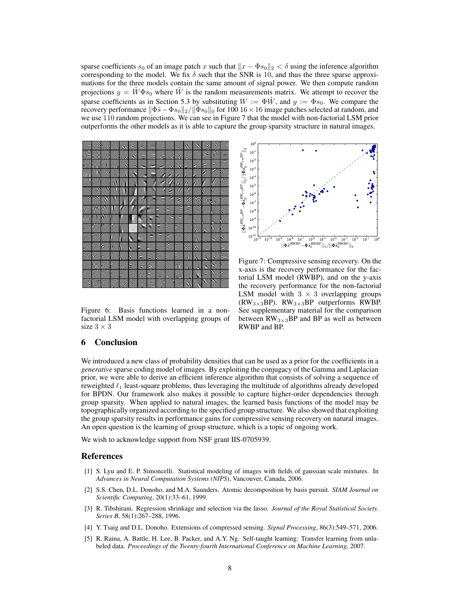sparse coefficients s<sub>0</sub> of an image patch x such that  $||x - \Phi s_0||_2 < \delta$  using the inference algorithm corresponding to the model. We fix  $\delta$  such that the SNR is 10, and thus the three sparse approximations for the three models contain the same amount of signal power. We then compute random projections  $y = W\Phi s_0$  where W is the random measurements matrix. We attempt to recover the sparse coefficients as in Section 5.3 by substituting  $W := \Phi \tilde{W}$ , and  $y := \Phi s_0$ . We compare the recovery performance  $\|\Phi \hat{s} - \Phi s_0\|_2 / \|\Phi s_0\|_0$  for 100 16 × 16 image patches selected at random, and we use 110 random projections. We can see in Figure 7 that the model with non-factorial LSM prior outperforms the other models as it is able to capture the group sparsity structure in natural images.



Figure 6: Basis functions learned in a nonfactorial LSM model with overlapping groups of size  $3 \times 3$ 



Figure 7: Compressive sensing recovery. On the x-axis is the recovery performance for the factorial LSM model (RWBP), and on the y-axis the recovery performance for the non-factorial LSM model with  $3 \times 3$  overlapping groups (RW<sub>3×3</sub>BP). RW<sub>3×3</sub>BP outperforms RWBP. See supplementary material for the comparison between  $RW_{3\times 3}BP$  and BP as well as between RWBP and BP.

## 6 Conclusion

We introduced a new class of probability densities that can be used as a prior for the coefficients in a *generative* sparse coding model of images. By exploiting the conjugacy of the Gamma and Laplacian prior, we were able to derive an efficient inference algorithm that consists of solving a sequence of reweighted  $\ell_1$  least-square problems, thus leveraging the multitude of algorithms already developed for BPDN. Our framework also makes it possible to capture higher-order dependencies through group sparsity. When applied to natural images, the learned basis functions of the model may be topographically organized according to the specified group structure. We also showed that exploiting the group sparsity results in performance gains for compressive sensing recovery on natural images. An open question is the learning of group structure, which is a topic of ongoing work.

We wish to acknowledge support from NSF grant IIS-0705939.

### References

- [1] S. Lyu and E. P. Simoncelli. Statistical modeling of images with fields of gaussian scale mixtures. In *Advances in Neural Computation Systems (NIPS)*, Vancouver, Canada, 2006.
- [2] S.S. Chen, D.L. Donoho, and M.A. Saunders. Atomic decomposition by basis pursuit. *SIAM Journal on Scientific Computing*, 20(1):33–61, 1999.
- [3] R. Tibshirani. Regression shrinkage and selection via the lasso. *Journal of the Royal Statistical Society. Series B*, 58(1):267–288, 1996.
- [4] Y. Tsaig and D.L. Donoho. Extensions of compressed sensing. *Signal Processing*, 86(3):549–571, 2006.
- [5] R. Raina, A. Battle, H. Lee, B. Packer, and A.Y. Ng. Self-taught learning: Transfer learning from unlabeled data. *Proceedings of the Twenty-fourth International Conference on Machine Learning*, 2007.